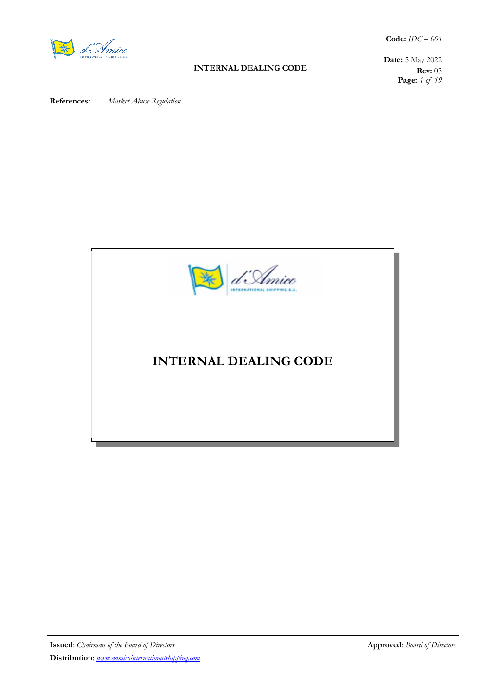

### **INTERNAL DEALING CODE**

**Date:** 5 May 2022 **Rev:** 03 **Page:** *1 of 19*

**References:** *Market Abuse Regulation* 

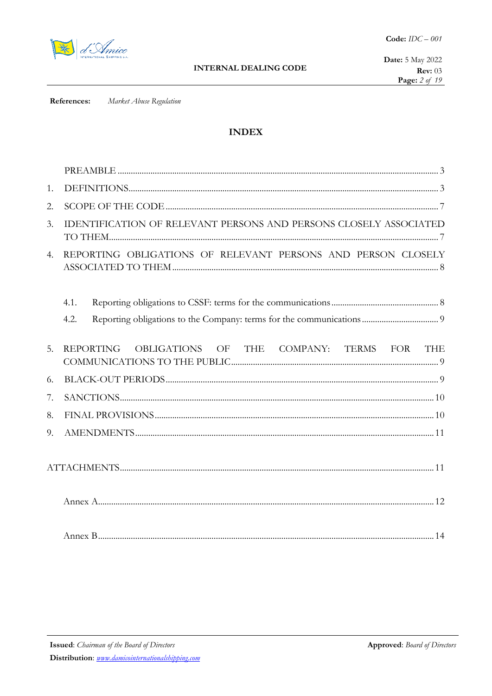

Market Abuse Regulation References:

# **INDEX**

| 1.               |                                                                            |
|------------------|----------------------------------------------------------------------------|
| 2.               |                                                                            |
| 3.               | IDENTIFICATION OF RELEVANT PERSONS AND PERSONS CLOSELY ASSOCIATED          |
| $\overline{4}$ . | REPORTING OBLIGATIONS OF RELEVANT PERSONS AND PERSON CLOSELY               |
|                  | 4.1.                                                                       |
|                  | 4.2.                                                                       |
| 5.               | <b>REPORTING</b><br>OBLIGATIONS<br>OF THE COMPANY: TERMS FOR<br><b>THE</b> |
| 6.               |                                                                            |
| 7.               |                                                                            |
| 8.               |                                                                            |
| 9.               |                                                                            |
|                  |                                                                            |
|                  |                                                                            |
|                  |                                                                            |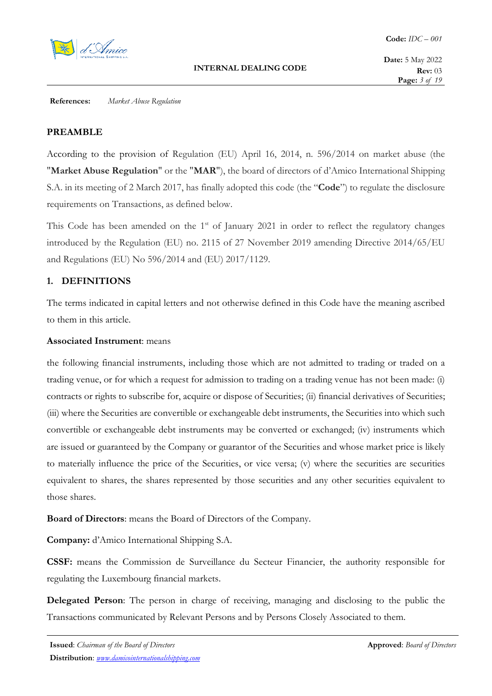

## **PREAMBLE**

According to the provision of Regulation (EU) April 16, 2014, n. 596/2014 on market abuse (the "**Market Abuse Regulation**" or the "**MAR**"), the board of directors of d'Amico International Shipping S.A. in its meeting of 2 March 2017, has finally adopted this code (the "**Code**") to regulate the disclosure requirements on Transactions, as defined below.

This Code has been amended on the 1<sup>st</sup> of January 2021 in order to reflect the regulatory changes introduced by the Regulation (EU) no. 2115 of 27 November 2019 amending Directive 2014/65/EU and Regulations (EU) No 596/2014 and (EU) 2017/1129.

# **1. DEFINITIONS**

The terms indicated in capital letters and not otherwise defined in this Code have the meaning ascribed to them in this article.

## **Associated Instrument**: means

the following financial instruments, including those which are not admitted to trading or traded on a trading venue, or for which a request for admission to trading on a trading venue has not been made: (i) contracts or rights to subscribe for, acquire or dispose of Securities; (ii) financial derivatives of Securities; (iii) where the Securities are convertible or exchangeable debt instruments, the Securities into which such convertible or exchangeable debt instruments may be converted or exchanged; (iv) instruments which are issued or guaranteed by the Company or guarantor of the Securities and whose market price is likely to materially influence the price of the Securities, or vice versa; (v) where the securities are securities equivalent to shares, the shares represented by those securities and any other securities equivalent to those shares.

**Board of Directors**: means the Board of Directors of the Company.

**Company:** d'Amico International Shipping S.A.

**CSSF:** means the Commission de Surveillance du Secteur Financier, the authority responsible for regulating the Luxembourg financial markets.

**Delegated Person**: The person in charge of receiving, managing and disclosing to the public the Transactions communicated by Relevant Persons and by Persons Closely Associated to them.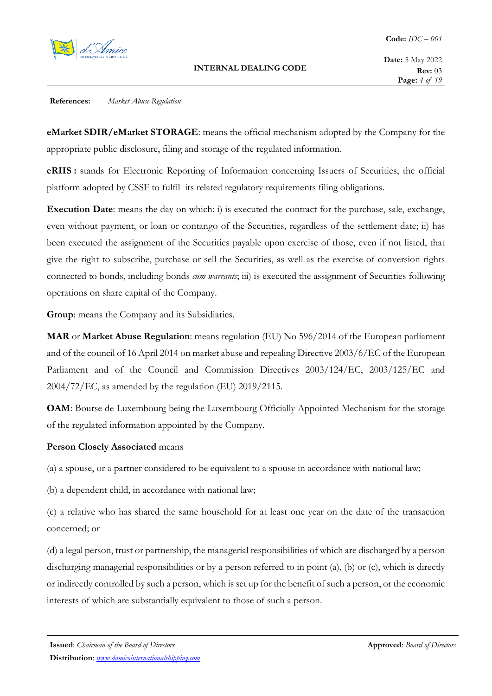

**eMarket SDIR/eMarket STORAGE**: means the official mechanism adopted by the Company for the appropriate public disclosure, filing and storage of the regulated information.

**eRIIS :** stands for Electronic Reporting of Information concerning Issuers of Securities, the official platform adopted by CSSF to fulfil its related regulatory requirements filing obligations.

**Execution Date**: means the day on which: i) is executed the contract for the purchase, sale, exchange, even without payment, or loan or contango of the Securities, regardless of the settlement date; ii) has been executed the assignment of the Securities payable upon exercise of those, even if not listed, that give the right to subscribe, purchase or sell the Securities, as well as the exercise of conversion rights connected to bonds, including bonds *cum warrants*; iii) is executed the assignment of Securities following operations on share capital of the Company.

**Group**: means the Company and its Subsidiaries.

**MAR** or **Market Abuse Regulation**: means regulation (EU) No 596/2014 of the European parliament and of the council of 16 April 2014 on market abuse and repealing Directive 2003/6/EC of the European Parliament and of the Council and Commission Directives 2003/124/EC, 2003/125/EC and 2004/72/EC, as amended by the regulation (EU) 2019/2115.

**OAM**: Bourse de Luxembourg being the Luxembourg Officially Appointed Mechanism for the storage of the regulated information appointed by the Company.

#### **Person Closely Associated** means

(a) a spouse, or a partner considered to be equivalent to a spouse in accordance with national law;

(b) a dependent child, in accordance with national law;

(c) a relative who has shared the same household for at least one year on the date of the transaction concerned; or

(d) a legal person, trust or partnership, the managerial responsibilities of which are discharged by a person discharging managerial responsibilities or by a person referred to in point (a), (b) or (c), which is directly or indirectly controlled by such a person, which is set up for the benefit of such a person, or the economic interests of which are substantially equivalent to those of such a person.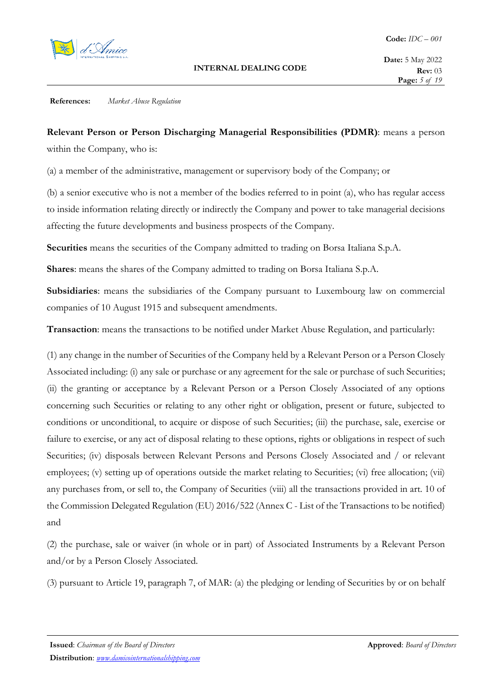

**Relevant Person or Person Discharging Managerial Responsibilities (PDMR)**: means a person within the Company, who is:

(a) a member of the administrative, management or supervisory body of the Company; or

(b) a senior executive who is not a member of the bodies referred to in point (a), who has regular access to inside information relating directly or indirectly the Company and power to take managerial decisions affecting the future developments and business prospects of the Company.

**Securities** means the securities of the Company admitted to trading on Borsa Italiana S.p.A.

**Shares**: means the shares of the Company admitted to trading on Borsa Italiana S.p.A.

**Subsidiaries**: means the subsidiaries of the Company pursuant to Luxembourg law on commercial companies of 10 August 1915 and subsequent amendments.

**Transaction**: means the transactions to be notified under Market Abuse Regulation, and particularly:

(1) any change in the number of Securities of the Company held by a Relevant Person or a Person Closely Associated including: (i) any sale or purchase or any agreement for the sale or purchase of such Securities; (ii) the granting or acceptance by a Relevant Person or a Person Closely Associated of any options concerning such Securities or relating to any other right or obligation, present or future, subjected to conditions or unconditional, to acquire or dispose of such Securities; (iii) the purchase, sale, exercise or failure to exercise, or any act of disposal relating to these options, rights or obligations in respect of such Securities; (iv) disposals between Relevant Persons and Persons Closely Associated and / or relevant employees; (v) setting up of operations outside the market relating to Securities; (vi) free allocation; (vii) any purchases from, or sell to, the Company of Securities (viii) all the transactions provided in art. 10 of the Commission Delegated Regulation (EU) 2016/522 (Annex C - List of the Transactions to be notified) and

(2) the purchase, sale or waiver (in whole or in part) of Associated Instruments by a Relevant Person and/or by a Person Closely Associated.

(3) pursuant to Article 19, paragraph 7, of MAR: (a) the pledging or lending of Securities by or on behalf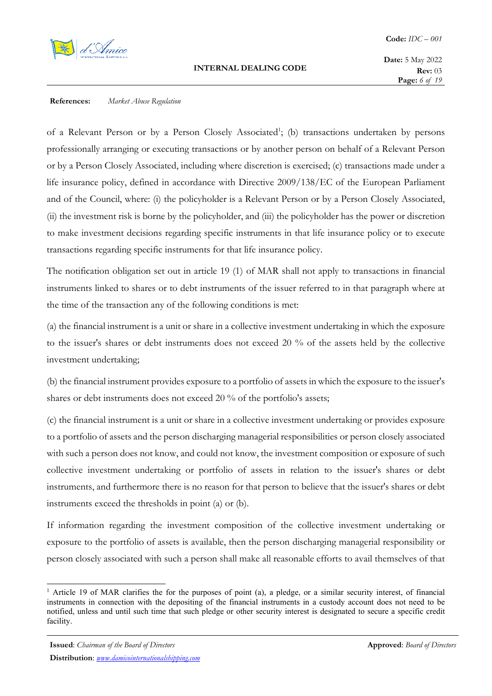

of a Relevant Person or by a Person Closely Associated<sup>1</sup>; (b) transactions undertaken by persons professionally arranging or executing transactions or by another person on behalf of a Relevant Person or by a Person Closely Associated, including where discretion is exercised; (c) transactions made under a life insurance policy, defined in accordance with Directive 2009/138/EC of the European Parliament and of the Council, where: (i) the policyholder is a Relevant Person or by a Person Closely Associated, (ii) the investment risk is borne by the policyholder, and (iii) the policyholder has the power or discretion to make investment decisions regarding specific instruments in that life insurance policy or to execute transactions regarding specific instruments for that life insurance policy.

The notification obligation set out in article 19 (1) of MAR shall not apply to transactions in financial instruments linked to shares or to debt instruments of the issuer referred to in that paragraph where at the time of the transaction any of the following conditions is met:

(a) the financial instrument is a unit or share in a collective investment undertaking in which the exposure to the issuer's shares or debt instruments does not exceed 20 % of the assets held by the collective investment undertaking;

(b) the financial instrument provides exposure to a portfolio of assets in which the exposure to the issuer's shares or debt instruments does not exceed 20 % of the portfolio's assets;

(c) the financial instrument is a unit or share in a collective investment undertaking or provides exposure to a portfolio of assets and the person discharging managerial responsibilities or person closely associated with such a person does not know, and could not know, the investment composition or exposure of such collective investment undertaking or portfolio of assets in relation to the issuer's shares or debt instruments, and furthermore there is no reason for that person to believe that the issuer's shares or debt instruments exceed the thresholds in point (a) or (b).

If information regarding the investment composition of the collective investment undertaking or exposure to the portfolio of assets is available, then the person discharging managerial responsibility or person closely associated with such a person shall make all reasonable efforts to avail themselves of that

<sup>&</sup>lt;sup>1</sup> Article 19 of MAR clarifies the for the purposes of point (a), a pledge, or a similar security interest, of financial instruments in connection with the depositing of the financial instruments in a custody account does not need to be notified, unless and until such time that such pledge or other security interest is designated to secure a specific credit facility.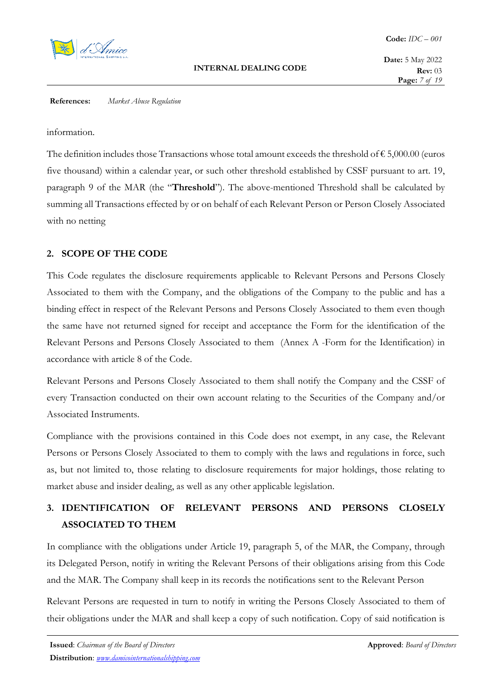

**Date:** 5 May 2022 **Rev:** 03 **Page:** *7 of 19*

#### **References:** *Market Abuse Regulation*

information.

The definition includes those Transactions whose total amount exceeds the threshold of  $\epsilon$  5,000.00 (euros five thousand) within a calendar year, or such other threshold established by CSSF pursuant to art. 19, paragraph 9 of the MAR (the "**Threshold**"). The above-mentioned Threshold shall be calculated by summing all Transactions effected by or on behalf of each Relevant Person or Person Closely Associated with no netting

#### **2. SCOPE OF THE CODE**

This Code regulates the disclosure requirements applicable to Relevant Persons and Persons Closely Associated to them with the Company, and the obligations of the Company to the public and has a binding effect in respect of the Relevant Persons and Persons Closely Associated to them even though the same have not returned signed for receipt and acceptance the Form for the identification of the Relevant Persons and Persons Closely Associated to them (Annex A -Form for the Identification) in accordance with article 8 of the Code.

Relevant Persons and Persons Closely Associated to them shall notify the Company and the CSSF of every Transaction conducted on their own account relating to the Securities of the Company and/or Associated Instruments.

Compliance with the provisions contained in this Code does not exempt, in any case, the Relevant Persons or Persons Closely Associated to them to comply with the laws and regulations in force, such as, but not limited to, those relating to disclosure requirements for major holdings, those relating to market abuse and insider dealing, as well as any other applicable legislation.

# **3. IDENTIFICATION OF RELEVANT PERSONS AND PERSONS CLOSELY ASSOCIATED TO THEM**

In compliance with the obligations under Article 19, paragraph 5, of the MAR, the Company, through its Delegated Person, notify in writing the Relevant Persons of their obligations arising from this Code and the MAR. The Company shall keep in its records the notifications sent to the Relevant Person

Relevant Persons are requested in turn to notify in writing the Persons Closely Associated to them of their obligations under the MAR and shall keep a copy of such notification. Copy of said notification is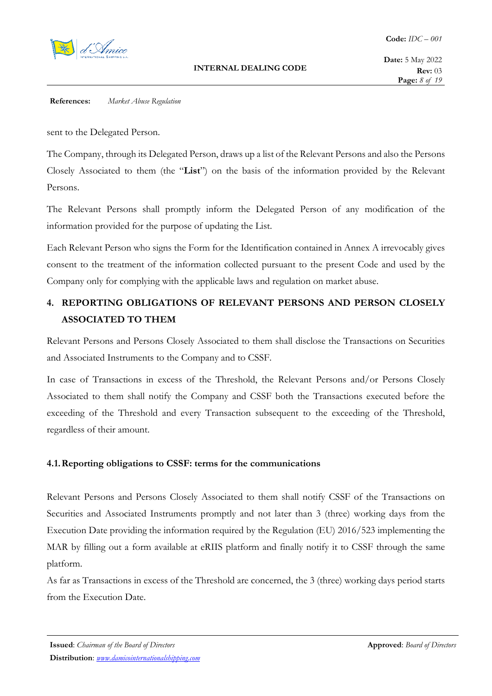

sent to the Delegated Person.

The Company, through its Delegated Person, draws up a list of the Relevant Persons and also the Persons Closely Associated to them (the "**List**") on the basis of the information provided by the Relevant Persons.

The Relevant Persons shall promptly inform the Delegated Person of any modification of the information provided for the purpose of updating the List.

Each Relevant Person who signs the Form for the Identification contained in Annex A irrevocably gives consent to the treatment of the information collected pursuant to the present Code and used by the Company only for complying with the applicable laws and regulation on market abuse.

# **4. REPORTING OBLIGATIONS OF RELEVANT PERSONS AND PERSON CLOSELY ASSOCIATED TO THEM**

Relevant Persons and Persons Closely Associated to them shall disclose the Transactions on Securities and Associated Instruments to the Company and to CSSF.

In case of Transactions in excess of the Threshold, the Relevant Persons and/or Persons Closely Associated to them shall notify the Company and CSSF both the Transactions executed before the exceeding of the Threshold and every Transaction subsequent to the exceeding of the Threshold, regardless of their amount.

# **4.1.Reporting obligations to CSSF: terms for the communications**

Relevant Persons and Persons Closely Associated to them shall notify CSSF of the Transactions on Securities and Associated Instruments promptly and not later than 3 (three) working days from the Execution Date providing the information required by the Regulation (EU) 2016/523 implementing the MAR by filling out a form available at eRIIS platform and finally notify it to CSSF through the same platform.

As far as Transactions in excess of the Threshold are concerned, the 3 (three) working days period starts from the Execution Date.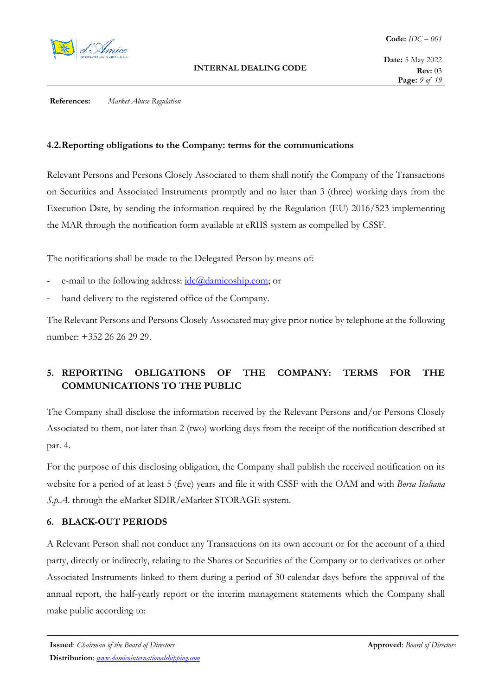

# **4.2.Reporting obligations to the Company: terms for the communications**

Relevant Persons and Persons Closely Associated to them shall notify the Company of the Transactions on Securities and Associated Instruments promptly and no later than 3 (three) working days from the Execution Date, by sending the information required by the Regulation (EU) 2016/523 implementing the MAR through the notification form available at eRIIS system as compelled by CSSF.

The notifications shall be made to the Delegated Person by means of:

- e-mail to the following address: idc@damicoship.com; or
- hand delivery to the registered office of the Company.

The Relevant Persons and Persons Closely Associated may give prior notice by telephone at the following number: +352 26 26 29 29.

# **5. REPORTING OBLIGATIONS OF THE COMPANY: TERMS FOR THE COMMUNICATIONS TO THE PUBLIC**

The Company shall disclose the information received by the Relevant Persons and/or Persons Closely Associated to them, not later than 2 (two) working days from the receipt of the notification described at par. 4.

For the purpose of this disclosing obligation, the Company shall publish the received notification on its website for a period of at least 5 (five) years and file it with CSSF with the OAM and with *Borsa Italiana S.p.A*. through the eMarket SDIR/eMarket STORAGE system.

# **6. BLACK-OUT PERIODS**

A Relevant Person shall not conduct any Transactions on its own account or for the account of a third party, directly or indirectly, relating to the Shares or Securities of the Company or to derivatives or other Associated Instruments linked to them during a period of 30 calendar days before the approval of the annual report, the half-yearly report or the interim management statements which the Company shall make public according to: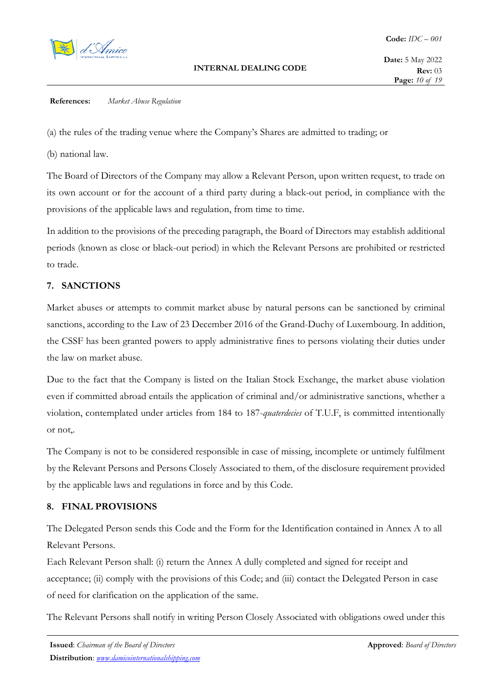

(a) the rules of the trading venue where the Company's Shares are admitted to trading; or

(b) national law.

The Board of Directors of the Company may allow a Relevant Person, upon written request, to trade on its own account or for the account of a third party during a black-out period, in compliance with the provisions of the applicable laws and regulation, from time to time.

In addition to the provisions of the preceding paragraph, the Board of Directors may establish additional periods (known as close or black-out period) in which the Relevant Persons are prohibited or restricted to trade.

# **7. SANCTIONS**

Market abuses or attempts to commit market abuse by natural persons can be sanctioned by criminal sanctions, according to the Law of 23 December 2016 of the Grand-Duchy of Luxembourg. In addition, the CSSF has been granted powers to apply administrative fines to persons violating their duties under the law on market abuse.

Due to the fact that the Company is listed on the Italian Stock Exchange, the market abuse violation even if committed abroad entails the application of criminal and/or administrative sanctions, whether a violation, contemplated under articles from 184 to 187-*quaterdecies* of T.U.F, is committed intentionally or not,.

The Company is not to be considered responsible in case of missing, incomplete or untimely fulfilment by the Relevant Persons and Persons Closely Associated to them, of the disclosure requirement provided by the applicable laws and regulations in force and by this Code.

# **8. FINAL PROVISIONS**

The Delegated Person sends this Code and the Form for the Identification contained in Annex A to all Relevant Persons.

Each Relevant Person shall: (i) return the Annex A dully completed and signed for receipt and acceptance; (ii) comply with the provisions of this Code; and (iii) contact the Delegated Person in case of need for clarification on the application of the same.

The Relevant Persons shall notify in writing Person Closely Associated with obligations owed under this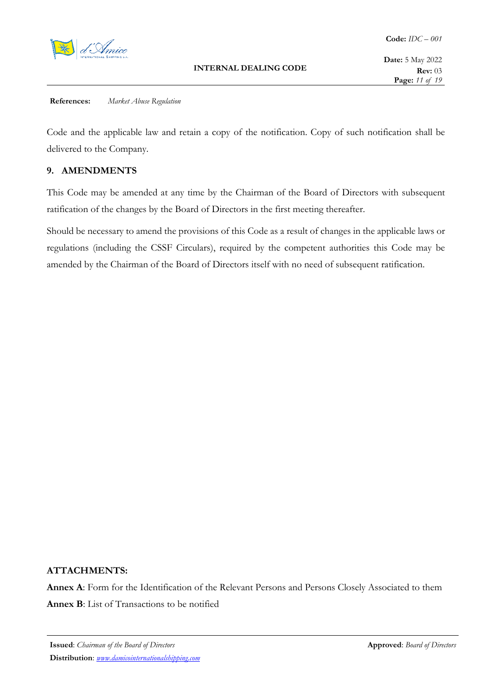

Code and the applicable law and retain a copy of the notification. Copy of such notification shall be delivered to the Company.

# **9. AMENDMENTS**

This Code may be amended at any time by the Chairman of the Board of Directors with subsequent ratification of the changes by the Board of Directors in the first meeting thereafter.

Should be necessary to amend the provisions of this Code as a result of changes in the applicable laws or regulations (including the CSSF Circulars), required by the competent authorities this Code may be amended by the Chairman of the Board of Directors itself with no need of subsequent ratification.

#### **ATTACHMENTS:**

**Annex A**: Form for the Identification of the Relevant Persons and Persons Closely Associated to them **Annex B**: List of Transactions to be notified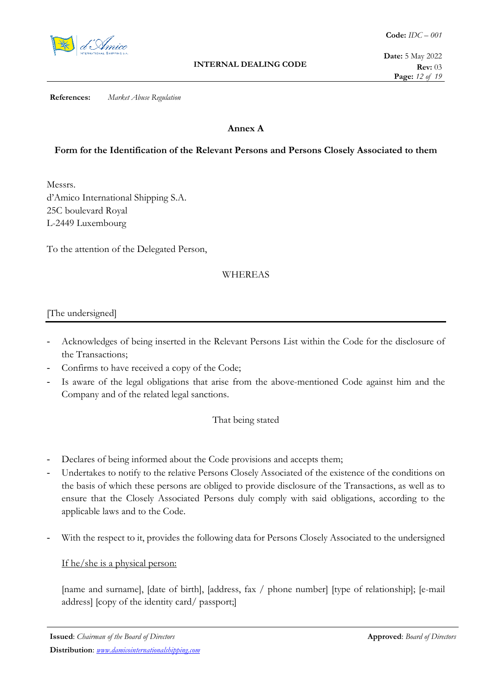

# **Annex A**

# **Form for the Identification of the Relevant Persons and Persons Closely Associated to them**

Messrs. d'Amico International Shipping S.A. 25C boulevard Royal L-2449 Luxembourg

To the attention of the Delegated Person,

# WHEREAS

### [The undersigned]

- Acknowledges of being inserted in the Relevant Persons List within the Code for the disclosure of the Transactions;
- Confirms to have received a copy of the Code;
- Is aware of the legal obligations that arise from the above-mentioned Code against him and the Company and of the related legal sanctions.

#### That being stated

- Declares of being informed about the Code provisions and accepts them;
- Undertakes to notify to the relative Persons Closely Associated of the existence of the conditions on the basis of which these persons are obliged to provide disclosure of the Transactions, as well as to ensure that the Closely Associated Persons duly comply with said obligations, according to the applicable laws and to the Code.
- With the respect to it, provides the following data for Persons Closely Associated to the undersigned

#### If he/she is a physical person:

[name and surname], [date of birth], [address, fax / phone number] [type of relationship]; [e-mail] address] [copy of the identity card/ passport;]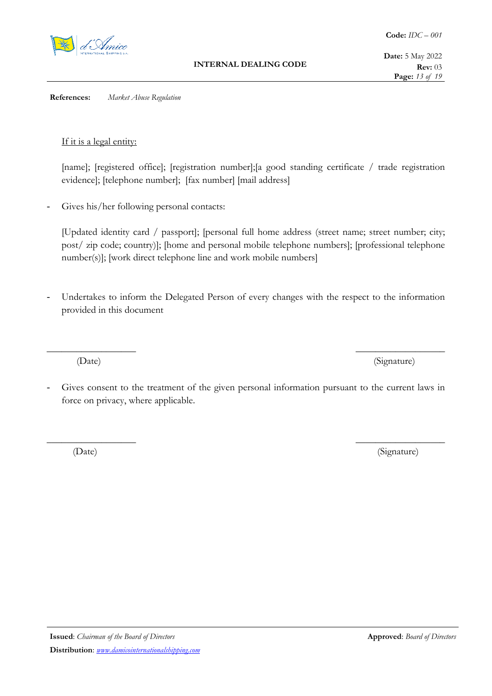

If it is a legal entity:

[name]; [registered office]; [registration number]; [a good standing certificate / trade registration evidence]; [telephone number]; [fax number] [mail address]

Gives his/her following personal contacts:

[Updated identity card / passport]; [personal full home address (street name; street number; city; post/ zip code; country)]; [home and personal mobile telephone numbers]; [professional telephone number(s)]; [work direct telephone line and work mobile numbers]

- Undertakes to inform the Delegated Person of every changes with the respect to the information provided in this document

 $\frac{1}{\sqrt{2\pi}}\int_{-\infty}^{\infty}e^{-2\pi i\omega t}e^{-2\pi i\omega t}$ 

(Date) (Signature)

- Gives consent to the treatment of the given personal information pursuant to the current laws in force on privacy, where applicable.

\_\_\_\_\_\_\_\_\_\_\_\_\_\_\_\_\_\_ \_\_\_\_\_\_\_\_\_\_\_\_\_\_\_\_\_\_

(Date) (Signature)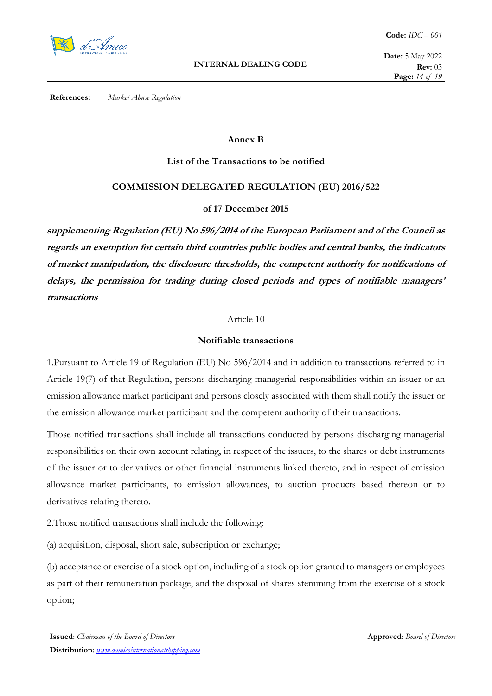

#### **Annex B**

### **List of the Transactions to be notified**

# **COMMISSION DELEGATED REGULATION (EU) 2016/522**

### **of 17 December 2015**

**supplementing Regulation (EU) No 596/2014 of the European Parliament and of the Council as regards an exemption for certain third countries public bodies and central banks, the indicators of market manipulation, the disclosure thresholds, the competent authority for notifications of delays, the permission for trading during closed periods and types of notifiable managers' transactions** 

#### Article 10

#### **Notifiable transactions**

1.Pursuant to Article 19 of Regulation (EU) No 596/2014 and in addition to transactions referred to in Article 19(7) of that Regulation, persons discharging managerial responsibilities within an issuer or an emission allowance market participant and persons closely associated with them shall notify the issuer or the emission allowance market participant and the competent authority of their transactions.

Those notified transactions shall include all transactions conducted by persons discharging managerial responsibilities on their own account relating, in respect of the issuers, to the shares or debt instruments of the issuer or to derivatives or other financial instruments linked thereto, and in respect of emission allowance market participants, to emission allowances, to auction products based thereon or to derivatives relating thereto.

2.Those notified transactions shall include the following:

(a) acquisition, disposal, short sale, subscription or exchange;

(b) acceptance or exercise of a stock option, including of a stock option granted to managers or employees as part of their remuneration package, and the disposal of shares stemming from the exercise of a stock option;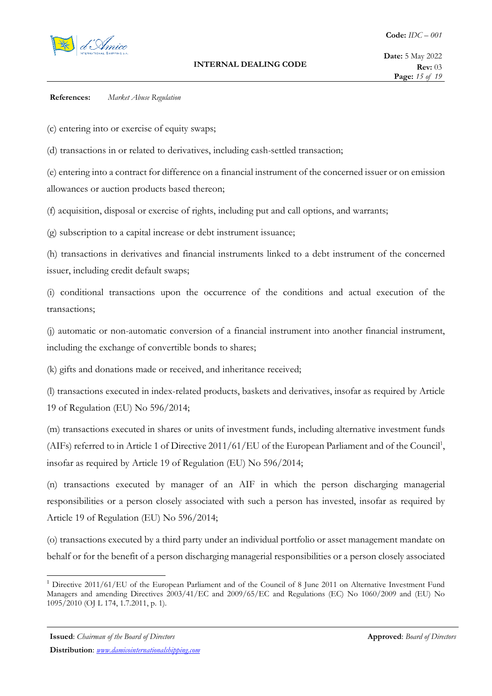

(c) entering into or exercise of equity swaps;

(d) transactions in or related to derivatives, including cash-settled transaction;

(e) entering into a contract for difference on a financial instrument of the concerned issuer or on emission allowances or auction products based thereon;

(f) acquisition, disposal or exercise of rights, including put and call options, and warrants;

(g) subscription to a capital increase or debt instrument issuance;

(h) transactions in derivatives and financial instruments linked to a debt instrument of the concerned issuer, including credit default swaps;

(i) conditional transactions upon the occurrence of the conditions and actual execution of the transactions;

(j) automatic or non-automatic conversion of a financial instrument into another financial instrument, including the exchange of convertible bonds to shares;

(k) gifts and donations made or received, and inheritance received;

(l) transactions executed in index-related products, baskets and derivatives, insofar as required by Article 19 of Regulation (EU) No 596/2014;

(m) transactions executed in shares or units of investment funds, including alternative investment funds (AIFs) referred to in Article 1 of Directive 2011/61/EU of the European Parliament and of the Council<sup>1</sup>, insofar as required by Article 19 of Regulation (EU) No 596/2014;

(n) transactions executed by manager of an AIF in which the person discharging managerial responsibilities or a person closely associated with such a person has invested, insofar as required by Article 19 of Regulation (EU) No 596/2014;

(o) transactions executed by a third party under an individual portfolio or asset management mandate on behalf or for the benefit of a person discharging managerial responsibilities or a person closely associated

<sup>&</sup>lt;sup>1</sup> Directive 2011/61/EU of the European Parliament and of the Council of 8 June 2011 on Alternative Investment Fund Managers and amending Directives 2003/41/EC and 2009/65/EC and Regulations (EC) No 1060/2009 and (EU) No 1095/2010 (OJ L 174, 1.7.2011, p. 1).